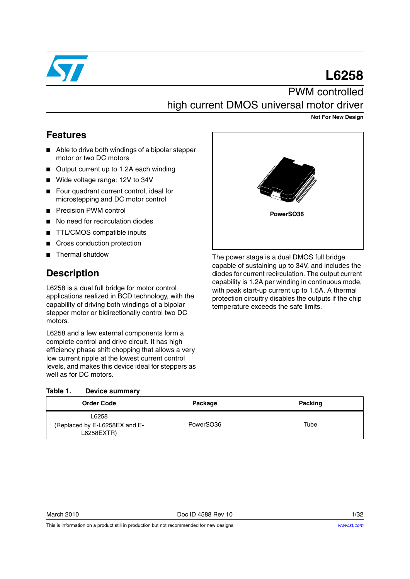

# **L6258** PWM controlled

high current DMOS universal motor driver

**Not For New Design**

### **Features**

- Able to drive both windings of a bipolar stepper motor or two DC motors
- Output current up to 1.2A each winding
- Wide voltage range: 12V to 34V
- Four quadrant current control, ideal for microstepping and DC motor control
- Precision PWM control
- No need for recirculation diodes
- TTL/CMOS compatible inputs
- Cross conduction protection
- Thermal shutdow

### **Description**

L6258 is a dual full bridge for motor control applications realized in BCD technology, with the capability of driving both windings of a bipolar stepper motor or bidirectionally control two DC motors.

L6258 and a few external components form a complete control and drive circuit. It has high efficiency phase shift chopping that allows a very low current ripple at the lowest current control levels, and makes this device ideal for steppers as well as for DC motors.

#### <span id="page-0-0"></span>Table 1 **Table 1. Device summary**

| <b>Order Code</b>                                    | Package   | <b>Packing</b> |
|------------------------------------------------------|-----------|----------------|
| L6258<br>(Replaced by E-L6258EX and E-<br>L6258EXTR) | PowerSO36 | Tube           |



This is information on a product still in production but not recommended for new designs.



The power stage is a dual DMOS full bridge capable of sustaining up to 34V, and includes the diodes for current recirculation. The output current capability is 1.2A per winding in continuous mode, with peak start-up current up to 1.5A. A thermal protection circuitry disables the outputs if the chip temperature exceeds the safe limits.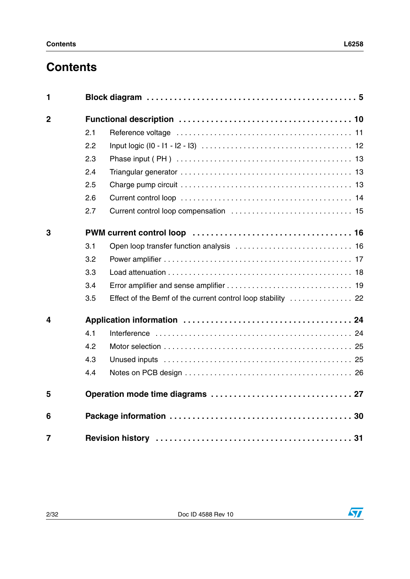# **Contents**

| 1              |     |                                                              |
|----------------|-----|--------------------------------------------------------------|
| $\overline{2}$ |     |                                                              |
|                | 2.1 |                                                              |
|                | 2.2 |                                                              |
|                | 2.3 |                                                              |
|                | 2.4 |                                                              |
|                | 2.5 |                                                              |
|                | 2.6 |                                                              |
|                | 2.7 |                                                              |
| 3              |     |                                                              |
|                | 3.1 |                                                              |
|                | 3.2 |                                                              |
|                | 3.3 |                                                              |
|                | 3.4 |                                                              |
|                | 3.5 | Effect of the Bemf of the current control loop stability  22 |
| 4              |     |                                                              |
|                | 4.1 |                                                              |
|                | 4.2 |                                                              |
|                | 4.3 |                                                              |
|                | 4.4 |                                                              |
| 5              |     |                                                              |
| 6              |     |                                                              |
| $\overline{7}$ |     |                                                              |

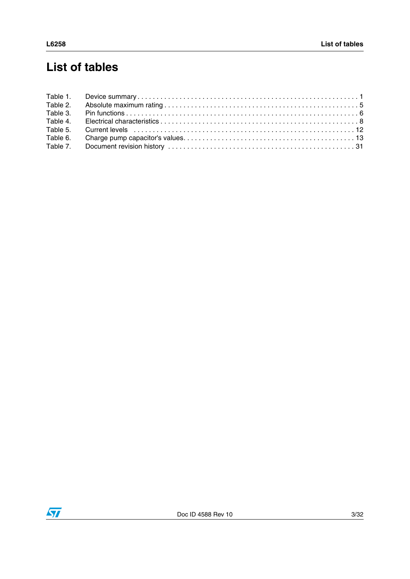# **List of tables**

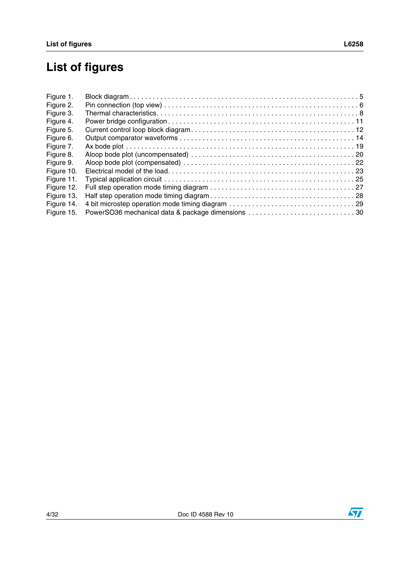# **List of figures**

| Figure 1.  |                                                   |  |
|------------|---------------------------------------------------|--|
| Figure 2.  |                                                   |  |
| Figure 3.  |                                                   |  |
| Figure 4.  |                                                   |  |
| Figure 5.  |                                                   |  |
| Figure 6.  |                                                   |  |
| Figure 7.  |                                                   |  |
| Figure 8.  |                                                   |  |
| Figure 9.  |                                                   |  |
| Figure 10. |                                                   |  |
| Figure 11. |                                                   |  |
| Figure 12. |                                                   |  |
| Figure 13. |                                                   |  |
| Figure 14. |                                                   |  |
| Figure 15. | PowerSO36 mechanical data & package dimensions 30 |  |

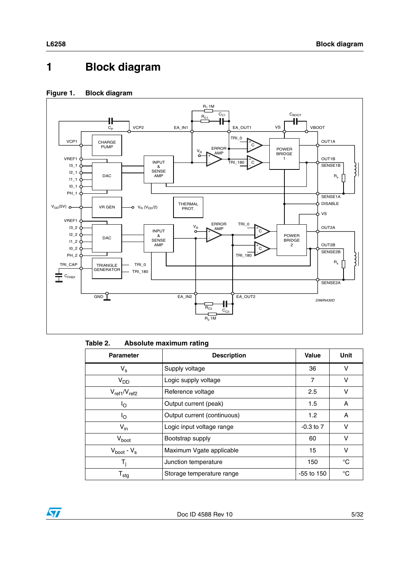# <span id="page-4-0"></span>**1 Block diagram**

#### <span id="page-4-2"></span>**Figure 1. Block diagram**



#### <span id="page-4-1"></span>Table 2. **Absolute maximum rating**

| <b>Parameter</b>    | <b>Description</b>          | Value            | <b>Unit</b> |
|---------------------|-----------------------------|------------------|-------------|
| $V_{\rm s}$         | Supply voltage              | 36               | v           |
| V <sub>DD</sub>     | Logic supply voltage        | $\overline{7}$   | v           |
| $V_{ref1}/V_{ref2}$ | Reference voltage           | 2.5              | v           |
| ١o                  | Output current (peak)       | 1.5              | A           |
| Ιo                  | Output current (continuous) | 1.2 <sub>2</sub> | A           |
| $V_{in}$            | Logic input voltage range   | $-0.3$ to $7$    | v           |
| $V_{boot}$          | Bootstrap supply            | 60               | v           |
| $V_{boot} - V_s$    | Maximum Vgate applicable    | 15               | v           |
| T,                  | Junction temperature        | 150              | $^{\circ}C$ |
| ${\sf T}_{\sf stg}$ | Storage temperature range   | $-55$ to 150     | °C          |

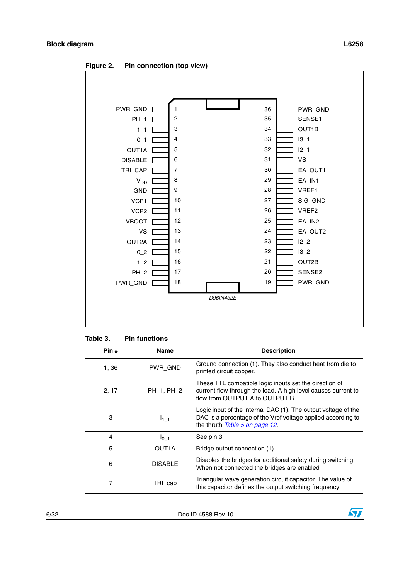<span id="page-5-1"></span>**Figure 2. Pin connection (top view)**



<span id="page-5-0"></span>

| <b>Pin functions</b><br>Table 3. |  |
|----------------------------------|--|
|----------------------------------|--|

| Pin # | <b>Name</b>        | <b>Description</b>                                                                                                                                               |
|-------|--------------------|------------------------------------------------------------------------------------------------------------------------------------------------------------------|
| 1, 36 | PWR_GND            | Ground connection (1). They also conduct heat from die to<br>printed circuit copper.                                                                             |
| 2, 17 | PH 1, PH 2         | These TTL compatible logic inputs set the direction of<br>current flow through the load. A high level causes current to<br>flow from OUTPUT A to OUTPUT B.       |
| 3     | $I_{1-1}$          | Logic input of the internal DAC (1). The output voltage of the<br>DAC is a percentage of the Vref voltage applied according to<br>the thruth Table 5 on page 12. |
| 4     | $I_0$ <sub>1</sub> | See pin 3                                                                                                                                                        |
| 5     | OUT1A              | Bridge output connection (1)                                                                                                                                     |
| 6     | <b>DISABLE</b>     | Disables the bridges for additional safety during switching.<br>When not connected the bridges are enabled                                                       |
|       | TRI_cap            | Triangular wave generation circuit capacitor. The value of<br>this capacitor defines the output switching frequency                                              |

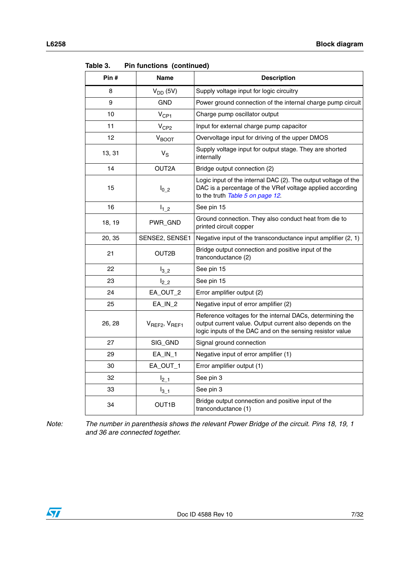| Pin #  | Name                                  | <b>Description</b>                                                                                                                                                                 |
|--------|---------------------------------------|------------------------------------------------------------------------------------------------------------------------------------------------------------------------------------|
| 8      | $V_{DD}$ (5V)                         | Supply voltage input for logic circuitry                                                                                                                                           |
| 9      | <b>GND</b>                            | Power ground connection of the internal charge pump circuit                                                                                                                        |
| 10     | $V_{CP1}$                             | Charge pump oscillator output                                                                                                                                                      |
| 11     | V <sub>CP2</sub>                      | Input for external charge pump capacitor                                                                                                                                           |
| 12     | $V_{BOOT}$                            | Overvoltage input for driving of the upper DMOS                                                                                                                                    |
| 13, 31 | $V_S$                                 | Supply voltage input for output stage. They are shorted<br>internally                                                                                                              |
| 14     | OUT2A                                 | Bridge output connection (2)                                                                                                                                                       |
| 15     | $I_{0_2}$                             | Logic input of the internal DAC (2). The output voltage of the<br>DAC is a percentage of the VRef voltage applied according<br>to the truth Table 5 on page 12.                    |
| 16     | $I_{1,2}$                             | See pin 15                                                                                                                                                                         |
| 18, 19 | PWR_GND                               | Ground connection. They also conduct heat from die to<br>printed circuit copper                                                                                                    |
| 20, 35 | SENSE2, SENSE1                        | Negative input of the transconductance input amplifier (2, 1)                                                                                                                      |
| 21     | OUT2B                                 | Bridge output connection and positive input of the<br>tranconductance (2)                                                                                                          |
| 22     | $I_{32}$                              | See pin 15                                                                                                                                                                         |
| 23     | $l_{2,2}$                             | See pin 15                                                                                                                                                                         |
| 24     | EA_OUT_2                              | Error amplifier output (2)                                                                                                                                                         |
| 25     | $EA$ <sub><math>IN</math></sub> $2$   | Negative input of error amplifier (2)                                                                                                                                              |
| 26, 28 | $V_{\text{REF2}}$ , $V_{\text{REF1}}$ | Reference voltages for the internal DACs, determining the<br>output current value. Output current also depends on the<br>logic inputs of the DAC and on the sensing resistor value |
| 27     | SIG_GND                               | Signal ground connection                                                                                                                                                           |
| 29     | $EA$ <sub>IN_1</sub>                  | Negative input of error amplifier (1)                                                                                                                                              |
| 30     | EA_OUT_1                              | Error amplifier output (1)                                                                                                                                                         |
| 32     | $I_{2-1}$                             | See pin 3                                                                                                                                                                          |
| 33     | $I_{3-1}$                             | See pin 3                                                                                                                                                                          |
| 34     | OUT1B                                 | Bridge output connection and positive input of the<br>tranconductance (1)                                                                                                          |

**Table 3. Pin functions (continued)**

*Note: The number in parenthesis shows the relevant Power Bridge of the circuit. Pins 18, 19, 1 and 36 are connected together.*

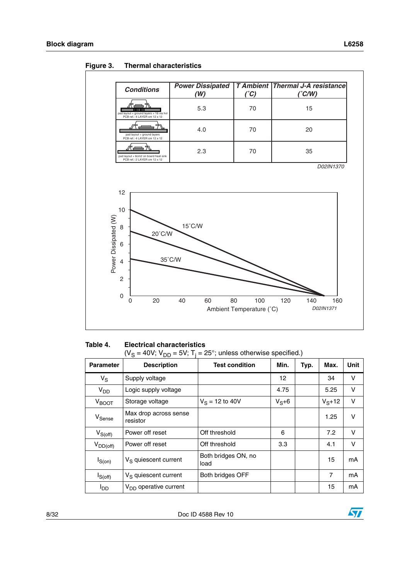| <b>Conditions</b>                                                       | <b>Power Dissipated</b><br>(W) | $(^{\circ}C)$ | <b>T Ambient Thermal J-A resistance</b><br>$(^{\circ}C/W)$ |
|-------------------------------------------------------------------------|--------------------------------|---------------|------------------------------------------------------------|
| pad layout + ground layers + 16 via hol<br>PCB ref.: 4 LAYER cm 12 x 12 | 5.3                            | 70            | 15                                                         |
| pad layout + ground layers<br>PCB ref.: 4 LAYER cm 12 x 12              | 4.0                            | 70            | 20                                                         |
| pad layout + 6cm2 on board heat sink<br>PCB ref.: 2 LAYER cm 12 x 12    | 2.3                            | 70            | 35                                                         |
|                                                                         |                                |               |                                                            |
| 12<br>10                                                                |                                |               |                                                            |
| 8<br>20°C/W<br>6                                                        | $15^{\circ}$ C/W               |               |                                                            |
| Power Dissipated (W)<br>4<br>$\mathbf{2}$<br>$\pmb{0}$                  | $35^{\circ}$ C/W               |               |                                                            |

<span id="page-7-1"></span>**Figure 3. Thermal characteristics**

<span id="page-7-0"></span>**Table 4. Electrical characteristics** 

| <b>Parameter</b>   | <b>Description</b>                | <b>Test condition</b>       | Min.      | Typ. | Max.           | Unit   |
|--------------------|-----------------------------------|-----------------------------|-----------|------|----------------|--------|
| $V_S$              | Supply voltage                    |                             | 12        |      | 34             | V      |
| V <sub>DD</sub>    | Logic supply voltage              |                             | 4.75      |      | 5.25           | $\vee$ |
| $V_{\text{BOOT}}$  | Storage voltage                   | $V_S = 12$ to 40V           | $V_S + 6$ |      | $V_{S} + 12$   | $\vee$ |
| V <sub>Sense</sub> | Max drop across sense<br>resistor |                             |           |      | 1.25           | v      |
| $V_{S(off)}$       | Power off reset                   | Off threshold               | 6         |      | 7.2            | $\vee$ |
| $V_{DD(off)}$      | Power off reset                   | Off threshold               | 3.3       |      | 4.1            | $\vee$ |
| $I_{S(0n)}$        | V <sub>S</sub> quiescent current  | Both bridges ON, no<br>load |           |      | 15             | mA     |
| $I_{S(off)}$       | $V_S$ quiescent current           | Both bridges OFF            |           |      | $\overline{7}$ | mA     |
| l <sub>DD</sub>    | V <sub>DD</sub> operative current |                             |           |      | 15             | mA     |

 $\sqrt{2}$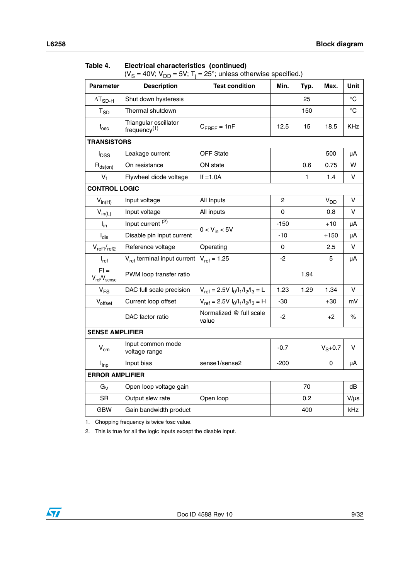| <b>Parameter</b>                               | <b>Description</b>                       | <b>Test condition</b>                | Min.           | Typ. | Max.            | Unit            |
|------------------------------------------------|------------------------------------------|--------------------------------------|----------------|------|-----------------|-----------------|
| $\Delta T_{SD-H}$                              | Shut down hysteresis                     |                                      |                | 25   |                 | $^{\circ}C$     |
| $T_{SD}$                                       | Thermal shutdown                         |                                      |                | 150  |                 | $\rm ^{\circ}C$ |
| $f_{\rm osc}$                                  | Triangular oscillator<br>frequency $(1)$ | $C_{\text{FREF}} = 1nF$              | 12.5           | 15   | 18.5            | KHz             |
| <b>TRANSISTORS</b>                             |                                          |                                      |                |      |                 |                 |
| <b>I</b> <sub>DSS</sub>                        | Leakage current                          | <b>OFF State</b>                     |                |      | 500             | μA              |
| $R_{ds(on)}$                                   | On resistance                            | ON state                             |                | 0.6  | 0.75            | w               |
| $V_f$                                          | Flywheel diode voltage                   | If $=1.0A$                           |                | 1    | 1.4             | V               |
| <b>CONTROL LOGIC</b>                           |                                          |                                      |                |      |                 |                 |
| $V_{in(H)}$                                    | Input voltage                            | All Inputs                           | $\overline{c}$ |      | V <sub>DD</sub> | V               |
| $V_{in(L)}$                                    | Input voltage                            | All inputs                           | 0              |      | 0.8             | V               |
| $I_{in}$                                       | Input current <sup>(2)</sup>             |                                      | $-150$         |      | $+10$           | μA              |
| $I_{dis}$                                      | Disable pin input current                | $0 < V_{in} < 5V$                    | $-10$          |      | $+150$          | μA              |
| $V_{ref1/ref2}$                                | Reference voltage                        | Operating                            | 0              |      | 2.5             | V               |
| $I_{ref}$                                      | V <sub>ref</sub> terminal input current  | $V_{ref} = 1.25$                     | $-2$           |      | 5               | μA              |
| $FI =$<br>V <sub>ref</sub> /V <sub>sense</sub> | PWM loop transfer ratio                  |                                      |                | 1.94 |                 |                 |
| $V_{FS}$                                       | DAC full scale precision                 | $V_{ref} = 2.5V I_0/I_1/I_2/I_3 = L$ | 1.23           | 1.29 | 1.34            | V               |
| Voffset                                        | Current loop offset                      | $V_{ref} = 2.5V I_0/I_1/I_2/I_3 = H$ | $-30$          |      | $+30$           | mV              |
|                                                | DAC factor ratio                         | Normalized @ full scale<br>value     | $-2$           |      | $+2$            | $\%$            |
| <b>SENSE AMPLIFIER</b>                         |                                          |                                      |                |      |                 |                 |
| $V_{\text{cm}}$                                | Input common mode<br>voltage range       |                                      | $-0.7$         |      | $V_S + 0.7$     | $\mathsf{V}$    |
| $I_{inp}$                                      | Input bias                               | sense1/sense2                        | $-200$         |      | 0               | μA              |
| <b>ERROR AMPLIFIER</b>                         |                                          |                                      |                |      |                 |                 |
| $G_V$                                          | Open loop voltage gain                   |                                      |                | 70   |                 | dB              |
| <b>SR</b>                                      | Output slew rate                         | Open loop                            |                | 0.2  |                 | $V/\mu s$       |
| GBW                                            | Gain bandwidth product                   |                                      |                | 400  |                 | kHz             |

#### **Table 4. Electrical characteristics (continued)**

(V<sub>S</sub> = 40V; V<sub>DD</sub> = 5V; T<sub>j</sub> = 25°; unless otherwise specified.)

1. Chopping frequency is twice fosc value.

2. This is true for all the logic inputs except the disable input.

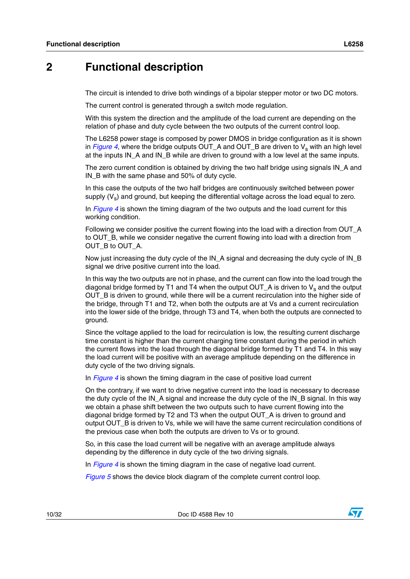### <span id="page-9-0"></span>**2 Functional description**

The circuit is intended to drive both windings of a bipolar stepper motor or two DC motors.

The current control is generated through a switch mode regulation.

With this system the direction and the amplitude of the load current are depending on the relation of phase and duty cycle between the two outputs of the current control loop.

The L6258 power stage is composed by power DMOS in bridge configuration as it is shown in  $Figure 4$  $Figure 4$ , where the bridge outputs OUT\_A and OUT\_B are driven to  $V_s$  with an high level at the inputs IN A and IN B while are driven to ground with a low level at the same inputs.

The zero current condition is obtained by driving the two half bridge using signals IN\_A and IN\_B with the same phase and 50% of duty cycle.

In this case the outputs of the two half bridges are continuously switched between power supply  $(V_s)$  and ground, but keeping the differential voltage across the load equal to zero.

In *[Figure](#page-10-1) 4* is shown the timing diagram of the two outputs and the load current for this working condition.

Following we consider positive the current flowing into the load with a direction from OUT\_A to OUT\_B, while we consider negative the current flowing into load with a direction from OUT\_B to OUT\_A.

Now just increasing the duty cycle of the IN\_A signal and decreasing the duty cycle of IN\_B signal we drive positive current into the load.

In this way the two outputs are not in phase, and the current can flow into the load trough the diagonal bridge formed by T1 and T4 when the output OUT\_A is driven to  $V_s$  and the output OUT\_B is driven to ground, while there will be a current recirculation into the higher side of the bridge, through T1 and T2, when both the outputs are at Vs and a current recirculation into the lower side of the bridge, through T3 and T4, when both the outputs are connected to ground.

Since the voltage applied to the load for recirculation is low, the resulting current discharge time constant is higher than the current charging time constant during the period in which the current flows into the load through the diagonal bridge formed by T1 and T4. In this way the load current will be positive with an average amplitude depending on the difference in duty cycle of the two driving signals.

In *[Figure](#page-10-1) 4* is shown the timing diagram in the case of positive load current

On the contrary, if we want to drive negative current into the load is necessary to decrease the duty cycle of the IN\_A signal and increase the duty cycle of the IN\_B signal. In this way we obtain a phase shift between the two outputs such to have current flowing into the diagonal bridge formed by T2 and T3 when the output OUT\_A is driven to ground and output OUT\_B is driven to Vs, while we will have the same current recirculation conditions of the previous case when both the outputs are driven to Vs or to ground.

So, in this case the load current will be negative with an average amplitude always depending by the difference in duty cycle of the two driving signals.

In *[Figure](#page-10-1) 4* is shown the timing diagram in the case of negative load current.

*[Figure](#page-11-2) 5* shows the device block diagram of the complete current control loop.

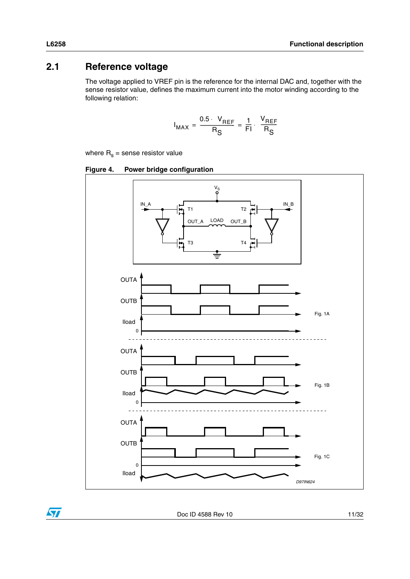### <span id="page-10-0"></span>**2.1 Reference voltage**

The voltage applied to VREF pin is the reference for the internal DAC and, together with the sense resistor value, defines the maximum current into the motor winding according to the following relation:

$$
I_{MAX} = \frac{0.5 \cdot V_{REF}}{R_S} = \frac{1}{Fl} \cdot \frac{V_{REF}}{R_S}
$$

where  $R_s$  = sense resistor value

<span id="page-10-1"></span>**Figure 4. Power bridge configuration**



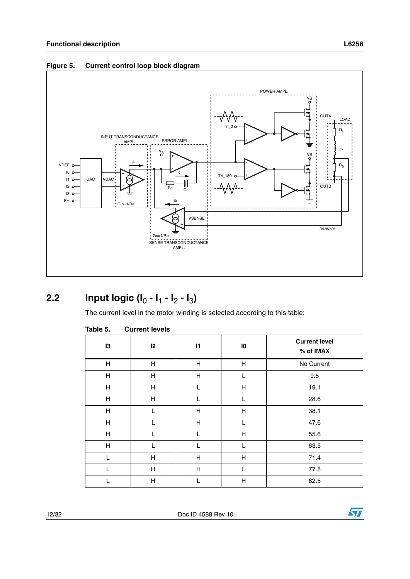![](_page_11_Figure_1.jpeg)

#### <span id="page-11-2"></span>**Figure 5. Current control loop block diagram**

## <span id="page-11-0"></span>**2.2** Input logic  $(I_0 - I_1 - I_2 - I_3)$

The current level in the motor winding is selected according to this table:

| 13                        | 12           | $\mathsf{I}$   | $\mathbf{I}$ | <b>Current level</b><br>% of IMAX |
|---------------------------|--------------|----------------|--------------|-----------------------------------|
| H                         | Н            | Н              | H            | No Current                        |
| H                         | Н            | $\overline{H}$ | T            | 9.5                               |
| $\boldsymbol{\mathsf{H}}$ | $\mathsf{H}$ | L              | $\mathsf{H}$ | 19.1                              |
| H                         | Н            | L              |              | 28.6                              |
| $\overline{\mathsf{H}}$   | L            | $\mathsf{H}$   | $\mathsf{H}$ | 38.1                              |
| H                         | L            | H              | L            | 47.6                              |
| H                         | L            | $\mathsf{L}$   | H            | 55.6                              |
| $\mathsf{H}$              | L            | L              | L            | 63.5                              |
| L                         | $\mathsf{H}$ | H              | Н            | 71.4                              |
| L                         | Н            | H              |              | 77.8                              |
| L                         | $\mathsf{H}$ |                | $\mathsf{H}$ | 82.5                              |

#### <span id="page-11-1"></span>Table 5. **Current levels**

![](_page_11_Picture_9.jpeg)

 $\sqrt{2}$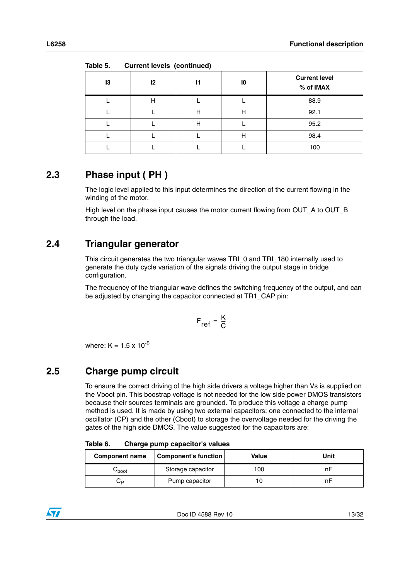| ----- |    |              |    |                                   |  |  |  |
|-------|----|--------------|----|-----------------------------------|--|--|--|
| 13    | 12 | $\mathsf{I}$ | 10 | <b>Current level</b><br>% of IMAX |  |  |  |
|       | н  |              |    | 88.9                              |  |  |  |
|       |    | н            | Η  | 92.1                              |  |  |  |
|       |    | н            |    | 95.2                              |  |  |  |
|       |    |              | Н  | 98.4                              |  |  |  |
|       |    |              |    | 100                               |  |  |  |

**Table 5. Current levels (continued)**

## <span id="page-12-0"></span>**2.3 Phase input ( PH )**

The logic level applied to this input determines the direction of the current flowing in the winding of the motor.

High level on the phase input causes the motor current flowing from OUT\_A to OUT\_B through the load.

### <span id="page-12-1"></span>**2.4 Triangular generator**

This circuit generates the two triangular waves TRI\_0 and TRI\_180 internally used to generate the duty cycle variation of the signals driving the output stage in bridge configuration.

The frequency of the triangular wave defines the switching frequency of the output, and can be adjusted by changing the capacitor connected at TR1\_CAP pin:

$$
F_{ref} = \frac{K}{C}
$$

where:  $K = 1.5 \times 10^{-5}$ 

### <span id="page-12-2"></span>**2.5 Charge pump circuit**

To ensure the correct driving of the high side drivers a voltage higher than Vs is supplied on the Vboot pin. This boostrap voltage is not needed for the low side power DMOS transistors because their sources terminals are grounded. To produce this voltage a charge pump method is used. It is made by using two external capacitors; one connected to the internal oscillator (CP) and the other (Cboot) to storage the overvoltage needed for the driving the gates of the high side DMOS. The value suggested for the capacitors are:

<span id="page-12-3"></span>Table 6. **Table 6. Charge pump capacitor's values**

| <b>Component name</b> | <b>Component's function</b> | Value | Unit |
|-----------------------|-----------------------------|-------|------|
| ∪boot                 | Storage capacitor           | 100   | n⊢   |
| ◡▫                    | Pump capacitor              |       |      |

![](_page_12_Picture_16.jpeg)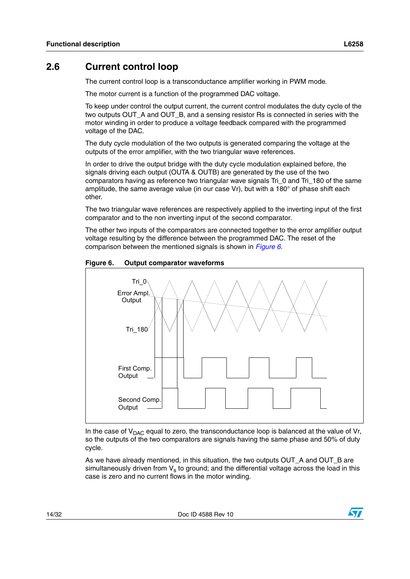#### <span id="page-13-0"></span>**2.6 Current control loop**

The current control loop is a transconductance amplifier working in PWM mode.

The motor current is a function of the programmed DAC voltage.

To keep under control the output current, the current control modulates the duty cycle of the two outputs OUT\_A and OUT\_B, and a sensing resistor Rs is connected in series with the motor winding in order to produce a voltage feedback compared with the programmed voltage of the DAC.

The duty cycle modulation of the two outputs is generated comparing the voltage at the outputs of the error amplifier, with the two triangular wave references.

In order to drive the output bridge with the duty cycle modulation explained before, the signals driving each output (OUTA & OUTB) are generated by the use of the two comparators having as reference two triangular wave signals Tri\_0 and Tri\_180 of the same amplitude, the same average value (in our case Vr), but with a 180° of phase shift each other.

The two triangular wave references are respectively applied to the inverting input of the first comparator and to the non inverting input of the second comparator.

The other two inputs of the comparators are connected together to the error amplifier output voltage resulting by the difference between the programmed DAC. The reset of the comparison between the mentioned signals is shown in *[Figure](#page-13-1) 6*.

![](_page_13_Figure_10.jpeg)

<span id="page-13-1"></span>![](_page_13_Figure_11.jpeg)

In the case of  $V_{\text{DAC}}$  equal to zero, the transconductance loop is balanced at the value of Vr, so the outputs of the two comparators are signals having the same phase and 50% of duty cycle.

As we have already mentioned, in this situation, the two outputs OUT\_A and OUT\_B are simultaneously driven from  $V_s$  to ground; and the differential voltage across the load in this case is zero and no current flows in the motor winding.

![](_page_13_Picture_15.jpeg)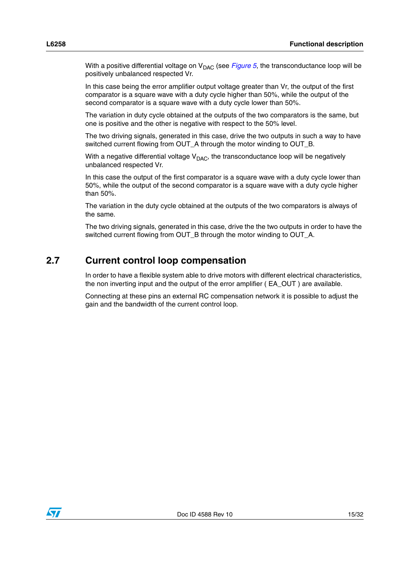With a positive differential voltage on  $V_{\text{DAC}}$  (see *[Figure](#page-11-2) 5*, the transconductance loop will be positively unbalanced respected Vr.

In this case being the error amplifier output voltage greater than Vr, the output of the first comparator is a square wave with a duty cycle higher than 50%, while the output of the second comparator is a square wave with a duty cycle lower than 50%.

The variation in duty cycle obtained at the outputs of the two comparators is the same, but one is positive and the other is negative with respect to the 50% level.

The two driving signals, generated in this case, drive the two outputs in such a way to have switched current flowing from OUT\_A through the motor winding to OUT\_B.

With a negative differential voltage  $V_{DAC}$ , the transconductance loop will be negatively unbalanced respected Vr.

In this case the output of the first comparator is a square wave with a duty cycle lower than 50%, while the output of the second comparator is a square wave with a duty cycle higher than 50%.

The variation in the duty cycle obtained at the outputs of the two comparators is always of the same.

The two driving signals, generated in this case, drive the the two outputs in order to have the switched current flowing from OUT\_B through the motor winding to OUT\_A.

#### <span id="page-14-0"></span>**2.7 Current control loop compensation**

In order to have a flexible system able to drive motors with different electrical characteristics, the non inverting input and the output of the error amplifier ( EA\_OUT ) are available.

Connecting at these pins an external RC compensation network it is possible to adjust the gain and the bandwidth of the current control loop.

![](_page_14_Picture_13.jpeg)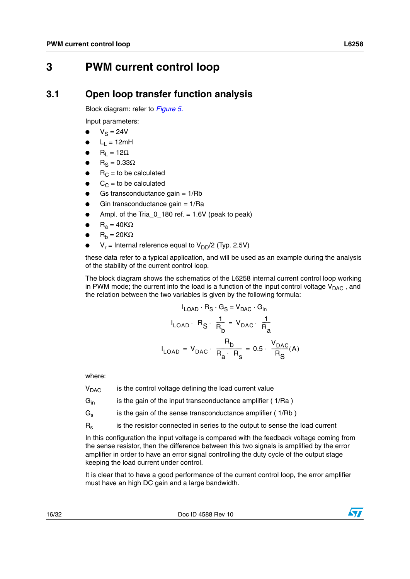## <span id="page-15-0"></span>**3 PWM current control loop**

#### <span id="page-15-1"></span>**3.1 Open loop transfer function analysis**

Block diagram: refer to *[Figure 5.](#page-11-2)*

Input parameters:

- $V_S = 24V$
- $L_1 = 12mH$
- $R_1 = 12\Omega$
- $R_S = 0.33\Omega$
- $R_C$  = to be calculated
- $C_C$  = to be calculated
- Gs transconductance gain  $= 1/Rb$
- Gin transconductance gain  $= 1/Ra$
- Ampl. of the Tria\_0\_180 ref.  $= 1.6V$  (peak to peak)
- $R_a = 40K\Omega$
- $R_b = 20K\Omega$
- $V_r$  = Internal reference equal to  $V_{DD}/2$  (Typ. 2.5V)

these data refer to a typical application, and will be used as an example during the analysis of the stability of the current control loop.

The block diagram shows the schematics of the L6258 internal current control loop working in PWM mode; the current into the load is a function of the input control voltage  $V_{\text{DAC}}$ , and the relation between the two variables is given by the following formula:

$$
I_{LOAD} \cdot R_S \cdot G_S = V_{DAC} \cdot G_{in}
$$
  

$$
I_{LOAD} \cdot R_S \cdot \frac{1}{R_b} = V_{DAC} \cdot \frac{1}{R_a}
$$
  

$$
I_{LOAD} = V_{DAC} \cdot \frac{R_b}{R_a \cdot R_s} = 0.5 \cdot \frac{V_{DAC}}{R_S}(A)
$$

where:

 $V<sub>DAC</sub>$  is the control voltage defining the load current value

 $G<sub>in</sub>$  is the gain of the input transconductance amplifier ( 1/Ra )

 $G<sub>s</sub>$  is the gain of the sense transconductance amplifier ( 1/Rb )

Rs is the resistor connected in series to the output to sense the load current

In this configuration the input voltage is compared with the feedback voltage coming from the sense resistor, then the difference between this two signals is amplified by the error amplifier in order to have an error signal controlling the duty cycle of the output stage keeping the load current under control.

It is clear that to have a good performance of the current control loop, the error amplifier must have an high DC gain and a large bandwidth.

![](_page_15_Picture_29.jpeg)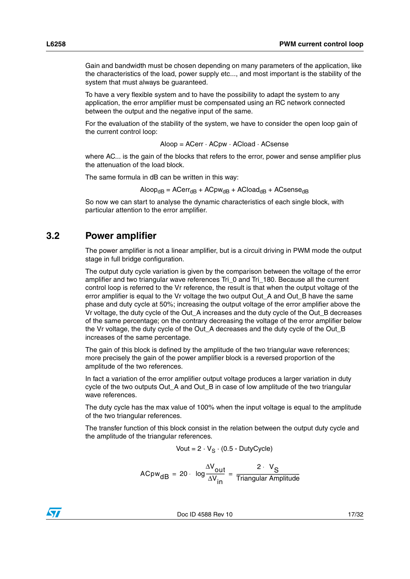Gain and bandwidth must be chosen depending on many parameters of the application, like the characteristics of the load, power supply etc..., and most important is the stability of the system that must always be guaranteed.

To have a very flexible system and to have the possibility to adapt the system to any application, the error amplifier must be compensated using an RC network connected between the output and the negative input of the same.

For the evaluation of the stability of the system, we have to consider the open loop gain of the current control loop:

```
Aloop = ACerr · ACpw · ACload · ACsense
```
where AC... is the gain of the blocks that refers to the error, power and sense amplifier plus the attenuation of the load block.

The same formula in dB can be written in this way:

$$
Aloop_{dB} = ACerr_{dB} + ACpw_{dB} + ACloud_{dB} + ACsense_{dB}
$$

So now we can start to analyse the dynamic characteristics of each single block, with particular attention to the error amplifier.

#### <span id="page-16-0"></span>**3.2 Power amplifier**

The power amplifier is not a linear amplifier, but is a circuit driving in PWM mode the output stage in full bridge configuration.

The output duty cycle variation is given by the comparison between the voltage of the error amplifier and two triangular wave references Tri\_0 and Tri\_180. Because all the current control loop is referred to the Vr reference, the result is that when the output voltage of the error amplifier is equal to the Vr voltage the two output Out\_A and Out\_B have the same phase and duty cycle at 50%; increasing the output voltage of the error amplifier above the Vr voltage, the duty cycle of the Out\_A increases and the duty cycle of the Out\_B decreases of the same percentage; on the contrary decreasing the voltage of the error amplifier below the Vr voltage, the duty cycle of the Out\_A decreases and the duty cycle of the Out\_B increases of the same percentage.

The gain of this block is defined by the amplitude of the two triangular wave references; more precisely the gain of the power amplifier block is a reversed proportion of the amplitude of the two references.

In fact a variation of the error amplifier output voltage produces a larger variation in duty cycle of the two outputs Out\_A and Out\_B in case of low amplitude of the two triangular wave references.

The duty cycle has the max value of 100% when the input voltage is equal to the amplitude of the two triangular references.

The transfer function of this block consist in the relation between the output duty cycle and the amplitude of the triangular references.

$$
Vout = 2 \cdot V_S \cdot (0.5 - DutyCycle)
$$

ACpw<sub>dB</sub> = 20  $= 20 \cdot \log \frac{\Delta V_{\text{out}}}{\Delta V_{\text{in}}} = \frac{2 \cdot V_{\text{S}}}{\text{Triangular Amplitude}}$ 

![](_page_16_Picture_21.jpeg)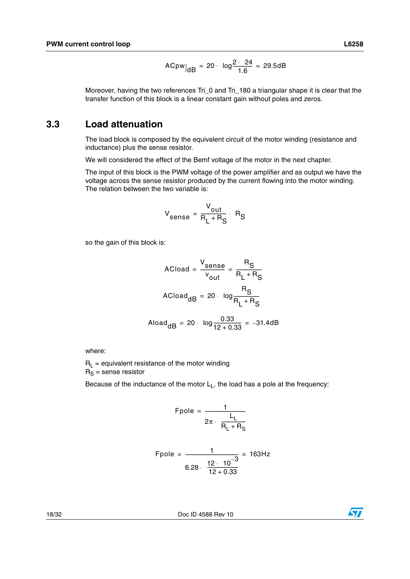$$
ACpw|_{dB} = 20 \cdot log \frac{2 \cdot 24}{1.6} = 29.5dB
$$

Moreover, having the two references Tri\_0 and Tri\_180 a triangular shape it is clear that the transfer function of this block is a linear constant gain without poles and zeros.

#### <span id="page-17-0"></span>**3.3 Load attenuation**

The load block is composed by the equivalent circuit of the motor winding (resistance and inductance) plus the sense resistor.

We will considered the effect of the Bemf voltage of the motor in the next chapter.

The input of this block is the PWM voltage of the power amplifier and as output we have the voltage across the sense resistor produced by the current flowing into the motor winding. The relation between the two variable is:

$$
V_{\text{sense}} = \frac{V_{\text{out}}}{R_L + R_S} \cdot R_S
$$

so the gain of this block is:

$$
ACload = \frac{V_{sense}}{v_{out}} = \frac{R_S}{R_L + R_S}
$$

$$
ACload_{dB} = 20 \cdot log \frac{R_S}{R_L + R_S}
$$

$$
Aload_{dB} = 20 \cdot log \frac{0.33}{12 + 0.33} = -31.4dB
$$

where:

 $R_L$  = equivalent resistance of the motor winding  $R_S$  = sense resistor

Because of the inductance of the motor  $L<sub>L</sub>$ , the load has a pole at the frequency:

$$
\text{Fpole} = \frac{1}{2\pi \cdot \frac{L_L}{R_L + R_S}}
$$

Fpole = 
$$
\frac{1}{6.28 \cdot \frac{12 \cdot 10^{-3}}{12 + 0.33}}
$$
 = 163Hz

18/32 Doc ID 4588 Rev 10

![](_page_17_Picture_17.jpeg)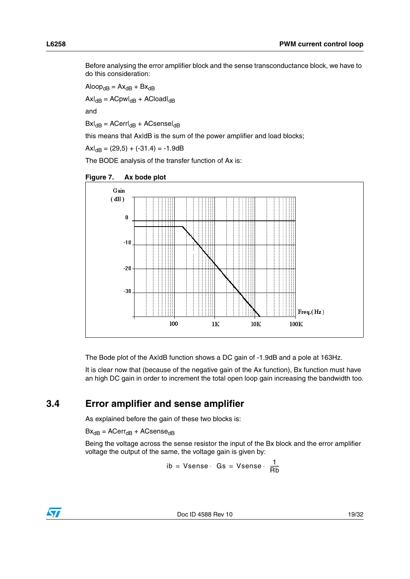Before analysing the error amplifier block and the sense transconductance block, we have to do this consideration:

 $A$ loop<sub>dB</sub> =  $Ax_{dB}$  +  $Bx_{dB}$ 

 $Ax|_{dB} = ACpw|_{dB} + ACload|_{dB}$ 

and

 $Bx|_{dB} = ACerr|_{dB} + ACsense|_{dB}$ 

this means that AxldB is the sum of the power amplifier and load blocks;

 $Ax|_{dB} = (29.5) + (-31.4) = -1.9dB$ 

The BODE analysis of the transfer function of Ax is:

<span id="page-18-1"></span>![](_page_18_Figure_9.jpeg)

![](_page_18_Figure_10.jpeg)

The Bode plot of the AxldB function shows a DC gain of -1.9dB and a pole at 163Hz.

It is clear now that (because of the negative gain of the Ax function), Bx function must have an high DC gain in order to increment the total open loop gain increasing the bandwidth too.

#### <span id="page-18-0"></span>**3.4 Error amplifier and sense amplifier**

As explained before the gain of these two blocks is:

 $Bx_{dB} = ACerr_{dB} + ACsense_{dB}$ 

Being the voltage across the sense resistor the input of the Bx block and the error amplifier voltage the output of the same, the voltage gain is given by:

$$
ib = Vsense \cdot Gs = Vsense \cdot \frac{1}{Rb}
$$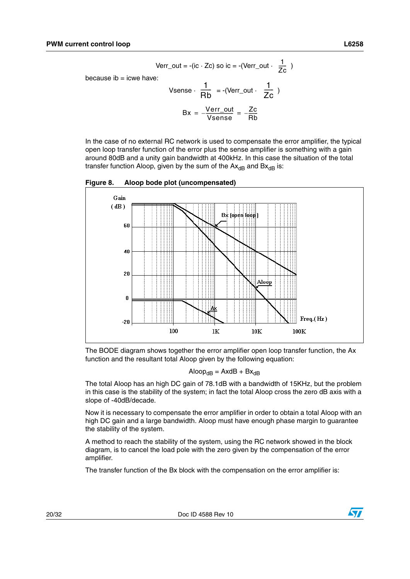Verr\_out = -(ic  $\cdot$  Zc) so ic = -(Verr\_out  $\cdot$   $\frac{1}{76}$  )  $\frac{1}{2c}$ 

because  $ib = icwe$  have:

Vsense 
$$
\cdot \frac{1}{Rb} = -(Verr\_out \cdot \frac{1}{Zc})
$$
  
  $Bx = \frac{Verr\_out}{Vsense} = \frac{Zc}{Rb}$ 

In the case of no external RC network is used to compensate the error amplifier, the typical open loop transfer function of the error plus the sense amplifier is something with a gain around 80dB and a unity gain bandwidth at 400kHz. In this case the situation of the total transfer function Aloop, given by the sum of the  $Ax_{dB}$  and  $Bx_{dB}$  is:

<span id="page-19-0"></span>**Figure 8. Aloop bode plot (uncompensated)**

![](_page_19_Figure_6.jpeg)

The BODE diagram shows together the error amplifier open loop transfer function, the Ax function and the resultant total Aloop given by the following equation:

$$
Aloop_{dB} = AxdB + Bx_{dB}
$$

The total Aloop has an high DC gain of 78.1dB with a bandwidth of 15KHz, but the problem in this case is the stability of the system; in fact the total Aloop cross the zero dB axis with a slope of -40dB/decade.

Now it is necessary to compensate the error amplifier in order to obtain a total Aloop with an high DC gain and a large bandwidth. Aloop must have enough phase margin to guarantee the stability of the system.

A method to reach the stability of the system, using the RC network showed in the block diagram, is to cancel the load pole with the zero given by the compensation of the error amplifier.

The transfer function of the Bx block with the compensation on the error amplifier is: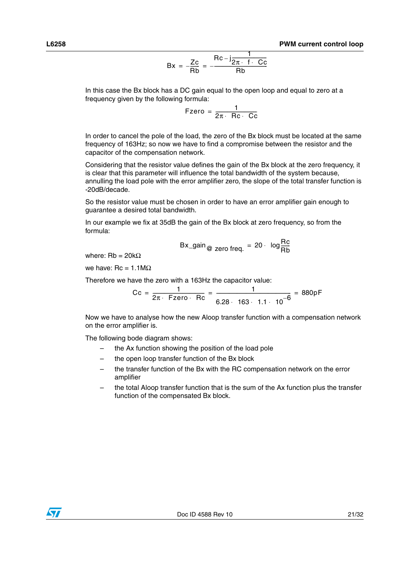$$
Bx = -\frac{Zc}{Rb} = -\frac{Rc - j\frac{1}{2\pi \cdot f \cdot Cc}}{Rb}
$$

In this case the Bx block has a DC gain equal to the open loop and equal to zero at a frequency given by the following formula:

$$
\mathsf{Fzero} = \frac{1}{2\pi \cdot \mathsf{Rc} \cdot \mathsf{Cc}}
$$

In order to cancel the pole of the load, the zero of the Bx block must be located at the same frequency of 163Hz; so now we have to find a compromise between the resistor and the capacitor of the compensation network.

Considering that the resistor value defines the gain of the Bx block at the zero frequency, it is clear that this parameter will influence the total bandwidth of the system because, annulling the load pole with the error amplifier zero, the slope of the total transfer function is -20dB/decade.

So the resistor value must be chosen in order to have an error amplifier gain enough to guarantee a desired total bandwidth.

In our example we fix at 35dB the gain of the Bx block at zero frequency, so from the formula:

$$
Bx\_gain_{@ \text{ zero freq.}} = 20 \cdot \log \frac{Rc}{Rb}
$$

where: Rb = 20kΩ

we have:  $Rc = 1.1MΩ$ 

Therefore we have the zero with a 163Hz the capacitor value:

$$
Cc = \frac{1}{2\pi \cdot \text{ Fzero} \cdot \text{ Rc}} = \frac{1}{6.28 \cdot 163 \cdot 1.1 \cdot 10^{-6}} = 880pF
$$

Now we have to analyse how the new Aloop transfer function with a compensation network on the error amplifier is.

The following bode diagram shows:

- the Ax function showing the position of the load pole
- the open loop transfer function of the Bx block
- the transfer function of the Bx with the RC compensation network on the error amplifier
- the total Aloop transfer function that is the sum of the Ax function plus the transfer function of the compensated Bx block.

![](_page_20_Picture_20.jpeg)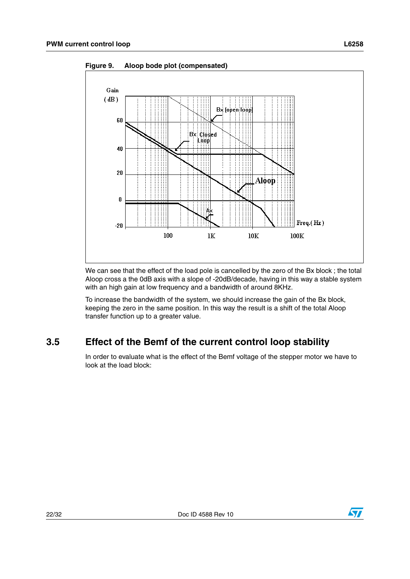![](_page_21_Figure_2.jpeg)

<span id="page-21-1"></span>**Figure 9. Aloop bode plot (compensated)**

We can see that the effect of the load pole is cancelled by the zero of the Bx block ; the total Aloop cross a the 0dB axis with a slope of -20dB/decade, having in this way a stable system with an high gain at low frequency and a bandwidth of around 8KHz.

To increase the bandwidth of the system, we should increase the gain of the Bx block, keeping the zero in the same position. In this way the result is a shift of the total Aloop transfer function up to a greater value.

### <span id="page-21-0"></span>**3.5 Effect of the Bemf of the current control loop stability**

In order to evaluate what is the effect of the Bemf voltage of the stepper motor we have to look at the load block:

![](_page_21_Picture_8.jpeg)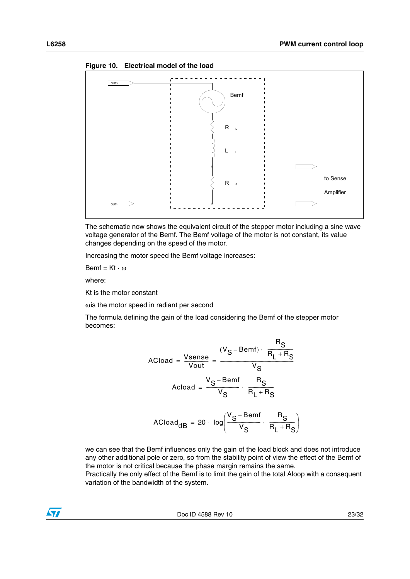![](_page_22_Figure_1.jpeg)

 $\frac{1}{2}$ 

<span id="page-22-0"></span>**Figure 10. Electrical model of the load**

The schematic now shows the equivalent circuit of the stepper motor including a sine wave voltage generator of the Bemf. The Bemf voltage of the motor is not constant, its value changes depending on the speed of the motor.

 $\frac{1}{2}$  .  $\frac{1}{2}$  .  $\frac{1}{2}$  .  $\frac{1}{2}$ 

Increasing the motor speed the Bemf voltage increases:

 $Bemf = Kt \cdot \omega$ 

 $\overline{O}$ 

where:

Kt is the motor constant

 $\omega$  is the motor speed in radiant per second

The formula defining the gain of the load considering the Bemf of the stepper motor becomes:

$$
ACload = \frac{Vsense}{Vout} = \frac{(V_S - Bemf) \cdot \frac{R_S}{R_L + R_S}}{V_S}
$$

$$
Acloud = \frac{V_S - Bemf}{V_S} \cdot \frac{R_S}{R_L + R_S}
$$

$$
ACload_{dB} = 20 \cdot log\left(\frac{V_S - Bemf}{V_S} \cdot \frac{R_S}{R_L + R_S}\right)
$$

we can see that the Bemf influences only the gain of the load block and does not introduce any other additional pole or zero, so from the stability point of view the effect of the Bemf of the motor is not critical because the phase margin remains the same.

Practically the only effect of the Bemf is to limit the gain of the total Aloop with a consequent variation of the bandwidth of the system.

![](_page_22_Picture_17.jpeg)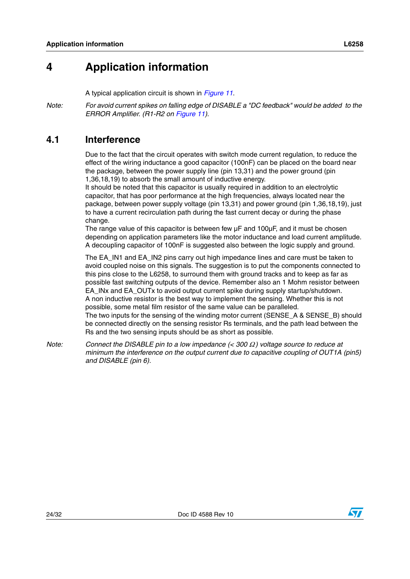## <span id="page-23-0"></span>**4 Application information**

A typical application circuit is shown in *[Figure](#page-24-2) 11*.

*Note: For avoid current spikes on falling edge of DISABLE a "DC feedback" would be added to the ERROR Amplifier. (R1-R2 on [Figure](#page-24-2) 11).*

#### <span id="page-23-1"></span>**4.1 Interference**

Due to the fact that the circuit operates with switch mode current regulation, to reduce the effect of the wiring inductance a good capacitor (100nF) can be placed on the board near the package, between the power supply line (pin 13,31) and the power ground (pin 1,36,18,19) to absorb the small amount of inductive energy.

It should be noted that this capacitor is usually required in addition to an electrolytic capacitor, that has poor performance at the high frequencies, always located near the package, between power supply voltage (pin 13,31) and power ground (pin 1,36,18,19), just to have a current recirculation path during the fast current decay or during the phase change.

The range value of this capacitor is between few µF and 100µF, and it must be chosen depending on application parameters like the motor inductance and load current amplitude. A decoupling capacitor of 100nF is suggested also between the logic supply and ground.

The EA\_IN1 and EA\_IN2 pins carry out high impedance lines and care must be taken to avoid coupled noise on this signals. The suggestion is to put the components connected to this pins close to the L6258, to surround them with ground tracks and to keep as far as possible fast switching outputs of the device. Remember also an 1 Mohm resistor between EA\_INx and EA\_OUTx to avoid output current spike during supply startup/shutdown. A non inductive resistor is the best way to implement the sensing. Whether this is not possible, some metal film resistor of the same value can be paralleled. The two inputs for the sensing of the winding motor current (SENSE\_A & SENSE\_B) should be connected directly on the sensing resistor Rs terminals, and the path lead between the Rs and the two sensing inputs should be as short as possible.

*Note: Connect the DISABLE pin to a low impedance (< 300* Ω *) voltage source to reduce at minimum the interference on the output current due to capacitive coupling of OUT1A (pin5) and DISABLE (pin 6).*

![](_page_23_Picture_11.jpeg)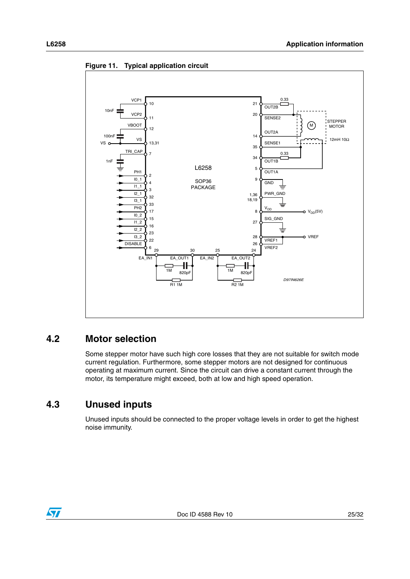![](_page_24_Figure_2.jpeg)

<span id="page-24-2"></span>**Figure 11. Typical application circuit**

#### <span id="page-24-0"></span>**4.2 Motor selection**

Some stepper motor have such high core losses that they are not suitable for switch mode current regulation. Furthermore, some stepper motors are not designed for continuous operating at maximum current. Since the circuit can drive a constant current through the motor, its temperature might exceed, both at low and high speed operation.

### <span id="page-24-1"></span>**4.3 Unused inputs**

Unused inputs should be connected to the proper voltage levels in order to get the highest noise immunity.

![](_page_24_Picture_8.jpeg)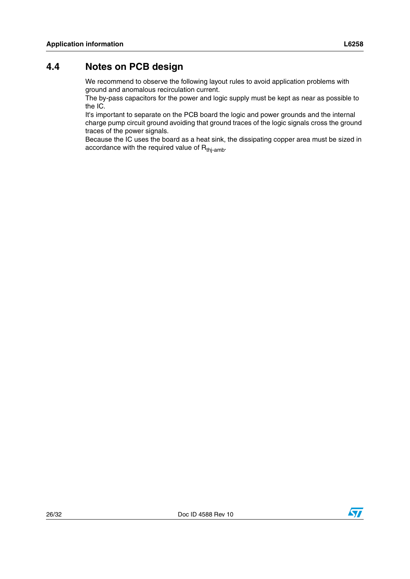### <span id="page-25-0"></span>**4.4 Notes on PCB design**

We recommend to observe the following layout rules to avoid application problems with ground and anomalous recirculation current.

The by-pass capacitors for the power and logic supply must be kept as near as possible to the IC.

It's important to separate on the PCB board the logic and power grounds and the internal charge pump circuit ground avoiding that ground traces of the logic signals cross the ground traces of the power signals.

Because the IC uses the board as a heat sink, the dissipating copper area must be sized in accordance with the required value of  $R<sub>thi-amb</sub>$ .

![](_page_25_Picture_9.jpeg)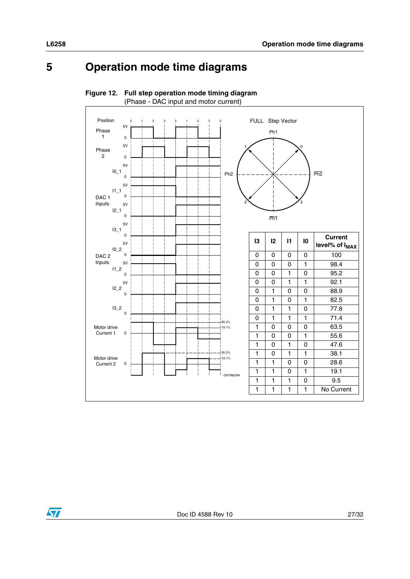## <span id="page-26-0"></span>**5 Operation mode time diagrams**

![](_page_26_Figure_2.jpeg)

<span id="page-26-1"></span>**Figure 12. Full step operation mode timing diagram**

![](_page_26_Picture_4.jpeg)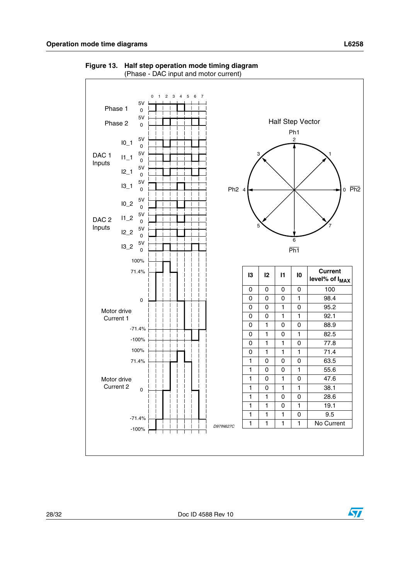![](_page_27_Figure_1.jpeg)

<span id="page-27-0"></span>**Figure 13. Half step operation mode timing diagram** (Phase - DAC input and motor current)

![](_page_27_Picture_5.jpeg)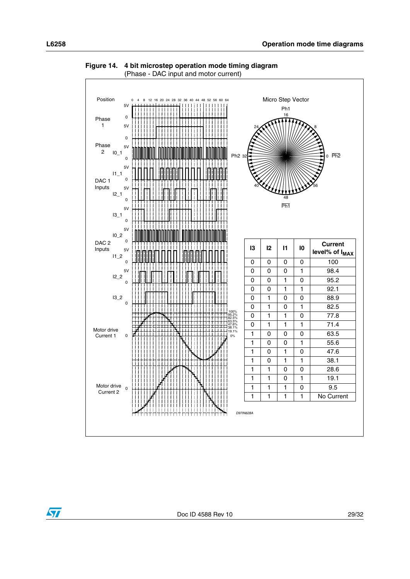![](_page_28_Figure_2.jpeg)

<span id="page-28-0"></span>**Figure 14. 4 bit microstep operation mode timing diagram** (Phase - DAC input and motor current)

![](_page_28_Picture_4.jpeg)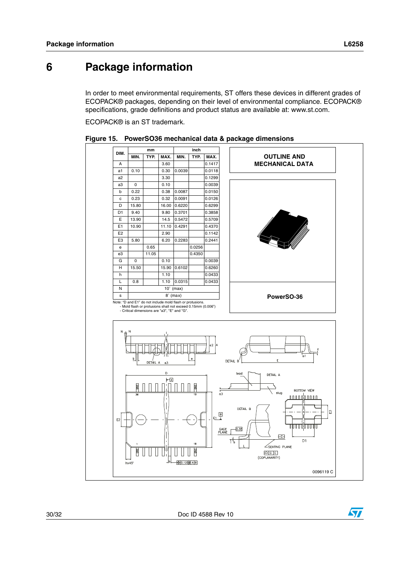57

## <span id="page-29-0"></span>**6 Package information**

In order to meet environmental requirements, ST offers these devices in different grades of ECOPACK® packages, depending on their level of environmental compliance. ECOPACK® specifications, grade definitions and product status are available at: www.st.com.

ECOPACK® is an ST trademark.

|                                                                                                                                                    |                  | mm    |               |                                   | inch      |                                                                                                   |                                                                                                                                                       |
|----------------------------------------------------------------------------------------------------------------------------------------------------|------------------|-------|---------------|-----------------------------------|-----------|---------------------------------------------------------------------------------------------------|-------------------------------------------------------------------------------------------------------------------------------------------------------|
| DIM.                                                                                                                                               | MIN.             | TYP.  | MAX.          | MIN.                              | TYP.      | MAX.                                                                                              | <b>OUTLINE AND</b>                                                                                                                                    |
| A                                                                                                                                                  |                  |       | 3.60          |                                   |           | 0.1417                                                                                            | <b>MECHANICAL DATA</b>                                                                                                                                |
| a1                                                                                                                                                 | 0.10             |       | 0.30          | 0.0039                            |           | 0.0118                                                                                            |                                                                                                                                                       |
| a <sub>2</sub>                                                                                                                                     |                  |       | 3.30          |                                   |           | 0.1299                                                                                            |                                                                                                                                                       |
| a3                                                                                                                                                 | $\mathbf 0$      |       | 0.10          |                                   |           | 0.0039                                                                                            |                                                                                                                                                       |
| $\mathbf b$                                                                                                                                        | 0.22             |       | 0.38          | 0.0087                            |           | 0.0150                                                                                            |                                                                                                                                                       |
| c                                                                                                                                                  | 0.23             |       | 0.32          | 0.0091                            |           | 0.0126                                                                                            |                                                                                                                                                       |
| D                                                                                                                                                  | 15.80            |       | 16.00         | 0.6220                            |           | 0.6299                                                                                            |                                                                                                                                                       |
| D <sub>1</sub>                                                                                                                                     | 9.40             |       | 9.80          | 0.3701                            |           | 0.3858                                                                                            |                                                                                                                                                       |
| Е                                                                                                                                                  | 13.90            |       | 14.5          | 0.5472                            |           | 0.5709                                                                                            |                                                                                                                                                       |
| E1<br>E2                                                                                                                                           | 10.90            |       | 11.10<br>2.90 | 0.4291                            |           | 0.4370                                                                                            |                                                                                                                                                       |
| E <sub>3</sub>                                                                                                                                     | 5.80             |       | 6.20          | 0.2283                            |           | 0.1142<br>0.2441                                                                                  |                                                                                                                                                       |
| $\mathbf e$                                                                                                                                        |                  | 0.65  |               |                                   | 0.0256    |                                                                                                   |                                                                                                                                                       |
| e3                                                                                                                                                 |                  | 11.05 |               |                                   | 0.4350    |                                                                                                   |                                                                                                                                                       |
| G                                                                                                                                                  | 0                |       | 0.10          |                                   |           | 0.0039                                                                                            |                                                                                                                                                       |
| H                                                                                                                                                  | 15.50            |       | 15.90         | 0.6102                            |           | 0.6260                                                                                            |                                                                                                                                                       |
| h                                                                                                                                                  |                  |       | 1.10          |                                   |           | 0.0433                                                                                            |                                                                                                                                                       |
| L                                                                                                                                                  | 0.8              |       | 1.10          | 0.0315                            |           | 0.0433                                                                                            |                                                                                                                                                       |
| N                                                                                                                                                  |                  |       |               | $10^{\circ}$ (max)                |           |                                                                                                   |                                                                                                                                                       |
| s                                                                                                                                                  |                  |       |               | $8°$ (max)                        |           |                                                                                                   | PowerSO-36                                                                                                                                            |
|                                                                                                                                                    |                  |       |               |                                   |           |                                                                                                   |                                                                                                                                                       |
| $\mathbb N$<br>N<br>a2<br>$\frac{1}{4}$<br>T <sub>a 1</sub><br>ь<br>e<br>$\mathsf{E}% _{0}\left( t_{1},t_{2}\right)$<br>DETAIL B<br>DETAIL A<br>e3 |                  |       |               |                                   |           |                                                                                                   |                                                                                                                                                       |
|                                                                                                                                                    | <b>BRD</b><br>36 |       | D<br>H        |                                   | GND<br>19 | $\sqrt{3}$                                                                                        | lead<br>DETAIL A<br>BOTTOM VIEW<br>slug<br>ח ח ח ת'ח ח ח ח ח                                                                                          |
| E <sub>2</sub>                                                                                                                                     | <b>GND</b>       |       |               |                                   | 18<br>GND | $\begin{array}{c} \begin{array}{c} \text{B} \\ \text{C} \end{array} \end{array}$<br>GAGE<br>PLANE | DETAIL B<br>IJ<br>י היי היידולים ביותר ביותר<br>$\sqrt{0.35}$<br>$-c-$<br>D <sub>1</sub><br>Τζ<br>$\angle$ SEATING PLANE<br>$\Box G$<br>(COPLANARITY) |
|                                                                                                                                                    | hx45             |       | _b            | $\bigoplus$ 0.12 $\bigotimes$ A B |           |                                                                                                   | 0096119 C                                                                                                                                             |

<span id="page-29-1"></span>![](_page_29_Figure_6.jpeg)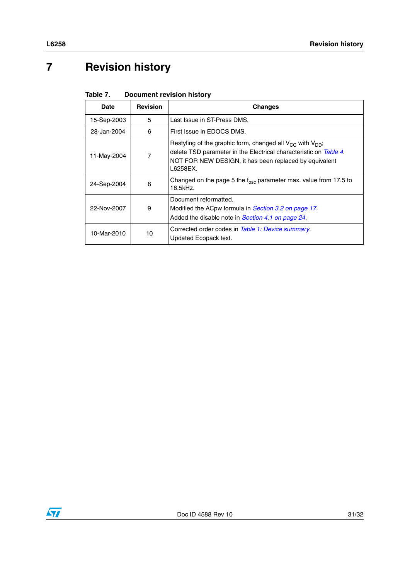# <span id="page-30-0"></span>**7 Revision history**

<span id="page-30-1"></span>

| Table 7. | <b>Document revision history</b> |  |
|----------|----------------------------------|--|
|          |                                  |  |

| <b>Date</b> | <b>Revision</b> | Changes                                                                                                                                                                                                        |
|-------------|-----------------|----------------------------------------------------------------------------------------------------------------------------------------------------------------------------------------------------------------|
| 15-Sep-2003 | 5               | Last Issue in ST-Press DMS.                                                                                                                                                                                    |
| 28-Jan-2004 | 6               | First Issue in EDOCS DMS.                                                                                                                                                                                      |
| 11-May-2004 | 7               | Restyling of the graphic form, changed all $V_{CC}$ with $V_{DD}$ ;<br>delete TSD parameter in the Electrical characteristic on Table 4.<br>NOT FOR NEW DESIGN, it has been replaced by equivalent<br>L6258EX. |
| 24-Sep-2004 | 8               | Changed on the page 5 the $f_{osc}$ parameter max. value from 17.5 to<br>18.5kHz.                                                                                                                              |
| 22-Nov-2007 | 9               | Document reformatted.<br>Modified the ACpw formula in Section 3.2 on page 17.<br>Added the disable note in Section 4.1 on page 24.                                                                             |
| 10-Mar-2010 | 10              | Corrected order codes in Table 1: Device summary.<br>Updated Ecopack text.                                                                                                                                     |

![](_page_30_Picture_4.jpeg)